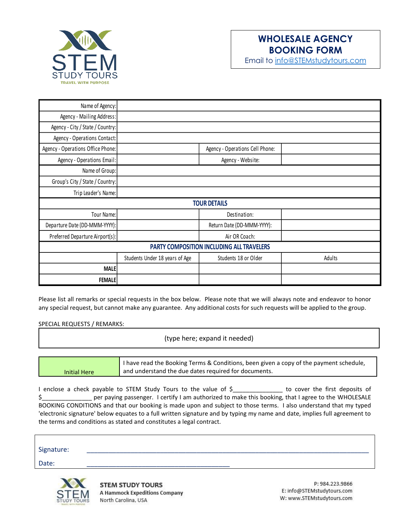

## **WHOLESALE AGENCY BOOKING FORM**

Email to [info@STEMstudytours.com](mailto:info@STEMstudytours.com)

| Name of Agency:                           |                                |                                 |        |  |
|-------------------------------------------|--------------------------------|---------------------------------|--------|--|
| Agency - Mailing Address:                 |                                |                                 |        |  |
| Agency - City / State / Country:          |                                |                                 |        |  |
| Agency - Operations Contact:              |                                |                                 |        |  |
| Agency - Operations Office Phone:         |                                | Agency - Operations Cell Phone: |        |  |
| Agency - Operations Email:                |                                | Agency - Website:               |        |  |
| Name of Group:                            |                                |                                 |        |  |
| Group's City / State / Country:           |                                |                                 |        |  |
| Trip Leader's Name:                       |                                |                                 |        |  |
| <b>TOUR DETAILS</b>                       |                                |                                 |        |  |
| Tour Name:                                |                                | Destination:                    |        |  |
| Departure Date (DD-MMM-YYYY):             |                                | Return Date (DD-MMM-YYYY):      |        |  |
| Preferred Departure Airport(s):           |                                | Air OR Coach:                   |        |  |
| PARTY COMPOSITION INCLUDING ALL TRAVELERS |                                |                                 |        |  |
|                                           | Students Under 18 years of Age | Students 18 or Older            | Adults |  |
| <b>MALE</b>                               |                                |                                 |        |  |
| <b>FEMALE</b>                             |                                |                                 |        |  |

Please list all remarks or special requests in the box below. Please note that we will always note and endeavor to honor any special request, but cannot make any guarantee. Any additional costs for such requests will be applied to the group.

SPECIAL REQUESTS / REMARKS:

(type here; expand it needed)

|              | I have read the Booking Terms & Conditions, been given a copy of the payment schedule, |  |
|--------------|----------------------------------------------------------------------------------------|--|
| Initial Here | and understand the due dates required for documents.                                   |  |

I enclose a check payable to STEM Study Tours to the value of \$\_\_\_\_\_\_\_\_\_\_\_\_\_\_\_\_ to cover the first deposits of \$\_\_\_\_\_\_\_\_\_\_\_\_\_\_\_ per paying passenger. I certify I am authorized to make this booking, that I agree to the WHOLESALE BOOKING CONDITIONS and that our booking is made upon and subject to those terms. I also understand that my typed 'electronic signature' below equates to a full written signature and by typing my name and date, implies full agreement to the terms and conditions as stated and constitutes a legal contract.

| Signature: |  |
|------------|--|
| Date:      |  |



**STEM STUDY TOURS A Hammock Expeditions Company** North Carolina, USA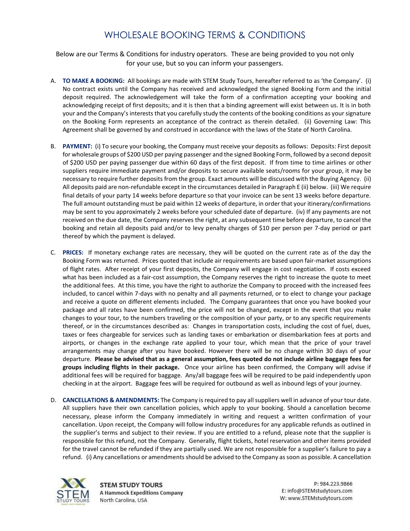## WHOLESALE BOOKING TERMS & CONDITIONS

Below are our Terms & Conditions for industry operators. These are being provided to you not only for your use, but so you can inform your passengers.

- A. **TO MAKE A BOOKING:** All bookings are made with STEM Study Tours, hereafter referred to as 'the Company'. (i) No contract exists until the Company has received and acknowledged the signed Booking Form and the initial deposit required. The acknowledgement will take the form of a confirmation accepting your booking and acknowledging receipt of first deposits; and it is then that a binding agreement will exist between us. It is in both your and the Company's interests that you carefully study the contents of the booking conditions as your signature on the Booking Form represents an acceptance of the contract as therein detailed. (ii) Governing Law: This Agreement shall be governed by and construed in accordance with the laws of the State of North Carolina.
- B. **PAYMENT:** (i) To secure your booking, the Company must receive your deposits as follows: Deposits: First deposit for wholesale groups of \$200 USD per paying passenger and the signed Booking Form, followed by a second deposit of \$200 USD per paying passenger due within 60 days of the first deposit. If from time to time airlines or other suppliers require immediate payment and/or deposits to secure available seats/rooms for your group, it may be necessary to require further deposits from the group. Exact amounts will be discussed with the Buying Agency. (ii) All deposits paid are non-refundable except in the circumstances detailed in Paragraph E (ii) below. (iii) We require final details of your party 14 weeks before departure so that your invoice can be sent 13 weeks before departure. The full amount outstanding must be paid within 12 weeks of departure, in order that your itinerary/confirmations may be sent to you approximately 2 weeks before your scheduled date of departure. (iv) If any payments are not received on the due date, the Company reserves the right, at any subsequent time before departure, to cancel the booking and retain all deposits paid and/or to levy penalty charges of \$10 per person per 7-day period or part thereof by which the payment is delayed.
- C. **PRICES:** If monetary exchange rates are necessary, they will be quoted on the current rate as of the day the Booking Form was returned. Prices quoted that include air requirements are based upon fair-market assumptions of flight rates. After receipt of your first deposits, the Company will engage in cost negotiation. If costs exceed what has been included as a fair-cost assumption, the Company reserves the right to increase the quote to meet the additional fees. At this time, you have the right to authorize the Company to proceed with the increased fees included, to cancel within 7-days with no penalty and all payments returned, or to elect to change your package and receive a quote on different elements included. The Company guarantees that once you have booked your package and all rates have been confirmed, the price will not be changed, except in the event that you make changes to your tour, to the numbers traveling or the composition of your party, or to any specific requirements thereof, or in the circumstances described as: Changes in transportation costs, including the cost of fuel, dues, taxes or fees chargeable for services such as landing taxes or embarkation or disembarkation fees at ports and airports, or changes in the exchange rate applied to your tour, which mean that the price of your travel arrangements may change after you have booked. However there will be no change within 30 days of your departure. **Please be advised that as a general assumption, fees quoted do not include airline baggage fees for groups including flights in their package.** Once your airline has been confirmed, the Company will advise if additional fees will be required for baggage. Any/all baggage fees will be required to be paid independently upon checking in at the airport. Baggage fees will be required for outbound as well as inbound legs of your journey.
- D. **CANCELLATIONS & AMENDMENTS:** The Company is required to pay all suppliers well in advance of your tour date. All suppliers have their own cancellation policies, which apply to your booking. Should a cancellation become necessary, please inform the Company immediately in writing and request a written confirmation of your cancellation. Upon receipt, the Company will follow industry procedures for any applicable refunds as outlined in the supplier's terms and subject to their review. If you are entitled to a refund, please note that the supplier is responsible for this refund, not the Company. Generally, flight tickets, hotel reservation and other items provided for the travel cannot be refunded if they are partially used. We are not responsible for a supplier's failure to pay a refund. (i) Any cancellations or amendments should be advised to the Company as soon as possible. A cancellation



**STEM STUDY TOURS A Hammock Expeditions Company** North Carolina, USA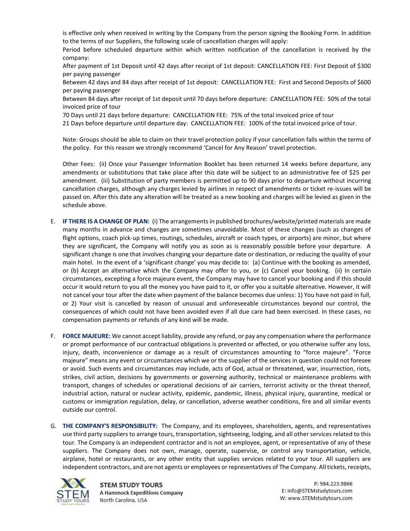is effective only when received in writing by the Company from the person signing the Booking Form. In addition to the terms of our Suppliers, the following scale of cancellation charges will apply:

Period before scheduled departure within which written notification of the cancellation is received by the company:

After payment of 1st Deposit until 42 days after receipt of 1st deposit: CANCELLATION FEE: First Deposit of \$300 per paying passenger

Between 42 days and 84 days after receipt of 1st deposit: CANCELLATION FEE: First and Second Deposits of \$600 per paying passenger

Between 84 days after receipt of 1st deposit until 70 days before departure: CANCELLATION FEE: 50% of the total invoiced price of tour

70 Days until 21 days before departure: CANCELLATION FEE: 75% of the total invoiced price of tour

21 Days before departure until departure day: CANCELLATION FEE: 100% of the total invoiced price of tour.

Note: Groups should be able to claim on their travel protection policy if your cancellation falls within the terms of the policy. For this reason we strongly recommend 'Cancel for Any Reason' travel protection.

Other Fees: (ii) Once your Passenger Information Booklet has been returned 14 weeks before departure, any amendments or substitutions that take place after this date will be subject to an administrative fee of \$25 per amendment. (iii) Substitution of party members is permitted up to 90 days prior to departure without incurring cancellation charges, although any charges levied by airlines in respect of amendments or ticket re-issues will be passed on. After this date any alteration will be treated as a new booking and charges will be levied as given in the schedule above.

- E. **IF THERE IS A CHANGE OF PLAN:** (i) The arrangements in published brochures/website/printed materials are made many months in advance and changes are sometimes unavoidable. Most of these changes (such as changes of flight options, coach pick-up times, routings, schedules, aircraft or coach types, or airports) are minor, but where they are significant, the Company will notify you as soon as is reasonably possible before your departure. A significant change is one that involves changing your departure date or destination, or reducing the quality of your main hotel. In the event of a 'significant change' you may decide to: (a) Continue with the booking as amended, or (b) Accept an alternative which the Company may offer to you, or (c) Cancel your booking. (ii) In certain circumstances, excepting a force majeure event, the Company may have to cancel your booking and if this should occur it would return to you all the money you have paid to it, or offer you a suitable alternative. However, it will not cancel your tour after the date when payment of the balance becomes due unless: 1) You have not paid in full, or 2) Your visit is cancelled by reason of unusual and unforeseeable circumstances beyond our control, the consequences of which could not have been avoided even if all due care had been exercised. In these cases, no compensation payments or refunds of any kind will be made.
- F. **FORCE MAJEURE:** We cannot accept liability, provide any refund, or pay any compensation where the performance or prompt performance of our contractual obligations is prevented or affected, or you otherwise suffer any loss, injury, death, inconvenience or damage as a result of circumstances amounting to "force majeure". "Force majeure" means any event or circumstances which we or the supplier of the services in question could not foresee or avoid. Such events and circumstances may include, acts of God, actual or threatened, war, insurrection, riots, strikes, civil action, decisions by governments or governing authority, technical or maintenance problems with transport, changes of schedules or operational decisions of air carriers, terrorist activity or the threat thereof, industrial action, natural or nuclear activity, epidemic, pandemic, illness, physical injury, quarantine, medical or customs or immigration regulation, delay, or cancellation, adverse weather conditions, fire and all similar events outside our control.
- G. **THE COMPANY'S RESPONSIBILITY:** The Company, and its employees, shareholders, agents, and representatives use third party suppliers to arrange tours, transportation, sightseeing, lodging, and all other services related to this tour. The Company is an independent contractor and is not an employee, agent, or representative of any of these suppliers. The Company does not own, manage, operate, supervise, or control any transportation, vehicle, airplane, hotel or restaurants, or any other entity that supplies services related to your tour. All suppliers are independent contractors, and are not agents or employees or representatives of The Company. All tickets, receipts,

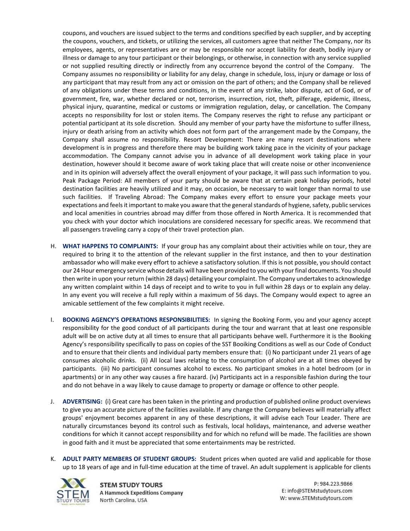coupons, and vouchers are issued subject to the terms and conditions specified by each supplier, and by accepting the coupons, vouchers, and tickets, or utilizing the services, all customers agree that neither The Company, nor its employees, agents, or representatives are or may be responsible nor accept liability for death, bodily injury or illness or damage to any tour participant or their belongings, or otherwise, in connection with any service supplied or not supplied resulting directly or indirectly from any occurrence beyond the control of the Company. The Company assumes no responsibility or liability for any delay, change in schedule, loss, injury or damage or loss of any participant that may result from any act or omission on the part of others; and the Company shall be relieved of any obligations under these terms and conditions, in the event of any strike, labor dispute, act of God, or of government, fire, war, whether declared or not, terrorism, insurrection, riot, theft, pilferage, epidemic, illness, physical injury, quarantine, medical or customs or immigration regulation, delay, or cancellation. The Company accepts no responsibility for lost or stolen items. The Company reserves the right to refuse any participant or potential participant at its sole discretion. Should any member of your party have the misfortune to suffer illness, injury or death arising from an activity which does not form part of the arrangement made by the Company, the Company shall assume no responsibility. Resort Development: There are many resort destinations where development is in progress and therefore there may be building work taking pace in the vicinity of your package accommodation. The Company cannot advise you in advance of all development work taking place in your destination, however should it become aware of work taking place that will create noise or other inconvenience and in its opinion will adversely affect the overall enjoyment of your package, it will pass such information to you. Peak Package Period: All members of your party should be aware that at certain peak holiday periods, hotel destination facilities are heavily utilized and it may, on occasion, be necessary to wait longer than normal to use such facilities. If Traveling Abroad: The Company makes every effort to ensure your package meets your expectations and feels it important to make you aware that the general standards of hygiene, safety, public services and local amenities in countries abroad may differ from those offered in North America. It is recommended that you check with your doctor which inoculations are considered necessary for specific areas. We recommend that all passengers traveling carry a copy of their travel protection plan.

- H. **WHAT HAPPENS TO COMPLAINTS:** If your group has any complaint about their activities while on tour, they are required to bring it to the attention of the relevant supplier in the first instance, and then to your destination ambassador who will make every effort to achieve a satisfactory solution. If this is not possible, you should contact our 24 Hour emergency service whose details will have been provided to you with your final documents. You should then write in upon your return (within 28 days) detailing your complaint. The Company undertakes to acknowledge any written complaint within 14 days of receipt and to write to you in full within 28 days or to explain any delay. In any event you will receive a full reply within a maximum of 56 days. The Company would expect to agree an amicable settlement of the few complaints it might receive.
- I. **BOOKING AGENCY'S OPERATIONS RESPONSIBILITIES:** In signing the Booking Form, you and your agency accept responsibility for the good conduct of all participants during the tour and warrant that at least one responsible adult will be on active duty at all times to ensure that all participants behave well. Furthermore it is the Booking Agency's responsibility specifically to pass on copies of the SST Booiking Conditions as well as our Code of Conduct and to ensure that their clients and individual party members ensure that: (i) No participant under 21 years of age consumes alcoholic drinks. (ii) All local laws relating to the consumption of alcohol are at all times obeyed by participants. (iii) No participant consumes alcohol to excess. No participant smokes in a hotel bedroom (or in apartments) or in any other way causes a fire hazard. (iv) Participants act in a responsible fashion during the tour and do not behave in a way likely to cause damage to property or damage or offence to other people.
- J. **ADVERTISING:** (i) Great care has been taken in the printing and production of published online product overviews to give you an accurate picture of the facilities available. If any change the Company believes will materially affect groups' enjoyment becomes apparent in any of these descriptions, it will advise each Tour Leader. There are naturally circumstances beyond its control such as festivals, local holidays, maintenance, and adverse weather conditions for which it cannot accept responsibility and for which no refund will be made. The facilities are shown in good faith and it must be appreciated that some entertainments may be restricted.
- K. **ADULT PARTY MEMBERS OF STUDENT GROUPS:** Student prices when quoted are valid and applicable for those up to 18 years of age and in full-time education at the time of travel. An adult supplement is applicable for clients



**STEM STUDY TOURS A Hammock Expeditions Company** North Carolina, USA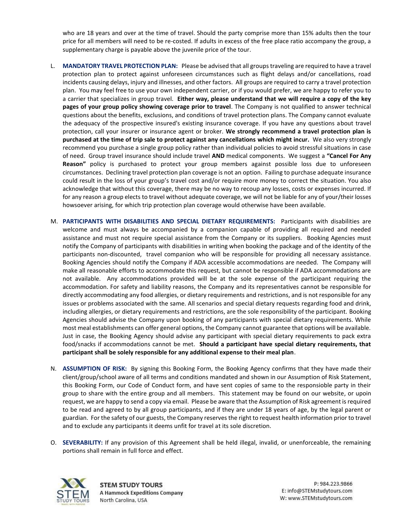who are 18 years and over at the time of travel. Should the party comprise more than 15% adults then the tour price for all members will need to be re-costed. If adults in excess of the free place ratio accompany the group, a supplementary charge is payable above the juvenile price of the tour.

- L. **MANDATORY TRAVEL PROTECTION PLAN:** Please be advised that all groups traveling are required to have a travel protection plan to protect against unforeseen circumstances such as flight delays and/or cancellations, road incidents causing delays, injury and illnesses, and other factors. All groups are required to carry a travel protection plan. You may feel free to use your own independent carrier, or if you would prefer, we are happy to refer you to a carrier that specializes in group travel. **Either way, please understand that we will require a copy of the key pages of your group policy showing coverage prior to travel**. The Company is not qualified to answer technical questions about the benefits, exclusions, and conditions of travel protection plans. The Company cannot evaluate the adequacy of the prospective insured's existing insurance coverage. If you have any questions about travel protection, call your insurer or insurance agent or broker. **We strongly recommend a travel protection plan is purchased at the time of trip sale to protect against any cancellations which might incur.** We also very strongly recommend you purchase a single group policy rather than individual policies to avoid stressful situations in case of need. Group travel insurance should include travel **AND** medical components. We suggest a **"Cancel For Any Reason"** policy is purchased to protect your group members against possible loss due to unforeseen circumstances. Declining travel protection plan coverage is not an option. Failing to purchase adequate insurance could result in the loss of your group's travel cost and/or require more money to correct the situation. You also acknowledge that without this coverage, there may be no way to recoup any losses, costs or expenses incurred. If for any reason a group elects to travel without adequate coverage, we will not be liable for any of your/their losses howsoever arising, for which trip protection plan coverage would otherwise have been available.
- M. **PARTICIPANTS WITH DISABILITIES AND SPECIAL DIETARY REQUIREMENTS:** Participants with disabilities are welcome and must always be accompanied by a companion capable of providing all required and needed assistance and must not require special assistance from the Company or its suppliers. Booking Agencies must notify the Company of participants with disabilities in writing when booking the package and of the identity of the participants non-discounted, travel companion who will be responsible for providing all necessary assistance. Booking Agencies should notify the Company if ADA accessible accommodations are needed. The Company will make all reasonable efforts to accommodate this request, but cannot be responsible if ADA accommodations are not available. Any accommodations provided will be at the sole expense of the participant requiring the accommodation. For safety and liability reasons, the Company and its representatives cannot be responsible for directly accommodating any food allergies, or dietary requirements and restrictions, and is not responsible for any issues or problems associated with the same. All scenarios and special dietary requests regarding food and drink, including allergies, or dietary requirements and restrictions, are the sole responsibility of the participant. Booking Agencies should advise the Company upon booking of any participants with special dietary requirements. While most meal establishments can offer general options, the Company cannot guarantee that options will be available. Just in case, the Booking Agency should advise any participant with special dietary requirements to pack extra food/snacks if accommodations cannot be met. **Should a participant have special dietary requirements, that participant shall be solely responsible for any additional expense to their meal plan**.
- N. **ASSUMPTION OF RISK:** By signing this Booking Form, the Booking Agency confirms that they have made their client/group/school aware of all terms and conditions mandated and shown in our Assumption of Risk Statement, this Booking Form, our Code of Conduct form, and have sent copies of same to the responsioble party in their group to share with the entire group and all members. This statement may be found on our website, or upoin request, we are happy to send a copy via email. Please be aware that the Assumption of Risk agreement is required to be read and agreed to by all group participants, and if they are under 18 years of age, by the legal parent or guardian. For the safety of our guests, the Company reserves the right to request health information prior to travel and to exclude any participants it deems unfit for travel at its sole discretion.
- O. **SEVERABILITY:** If any provision of this Agreement shall be held illegal, invalid, or unenforceable, the remaining portions shall remain in full force and effect.



**STEM STUDY TOURS A Hammock Expeditions Company** North Carolina, USA